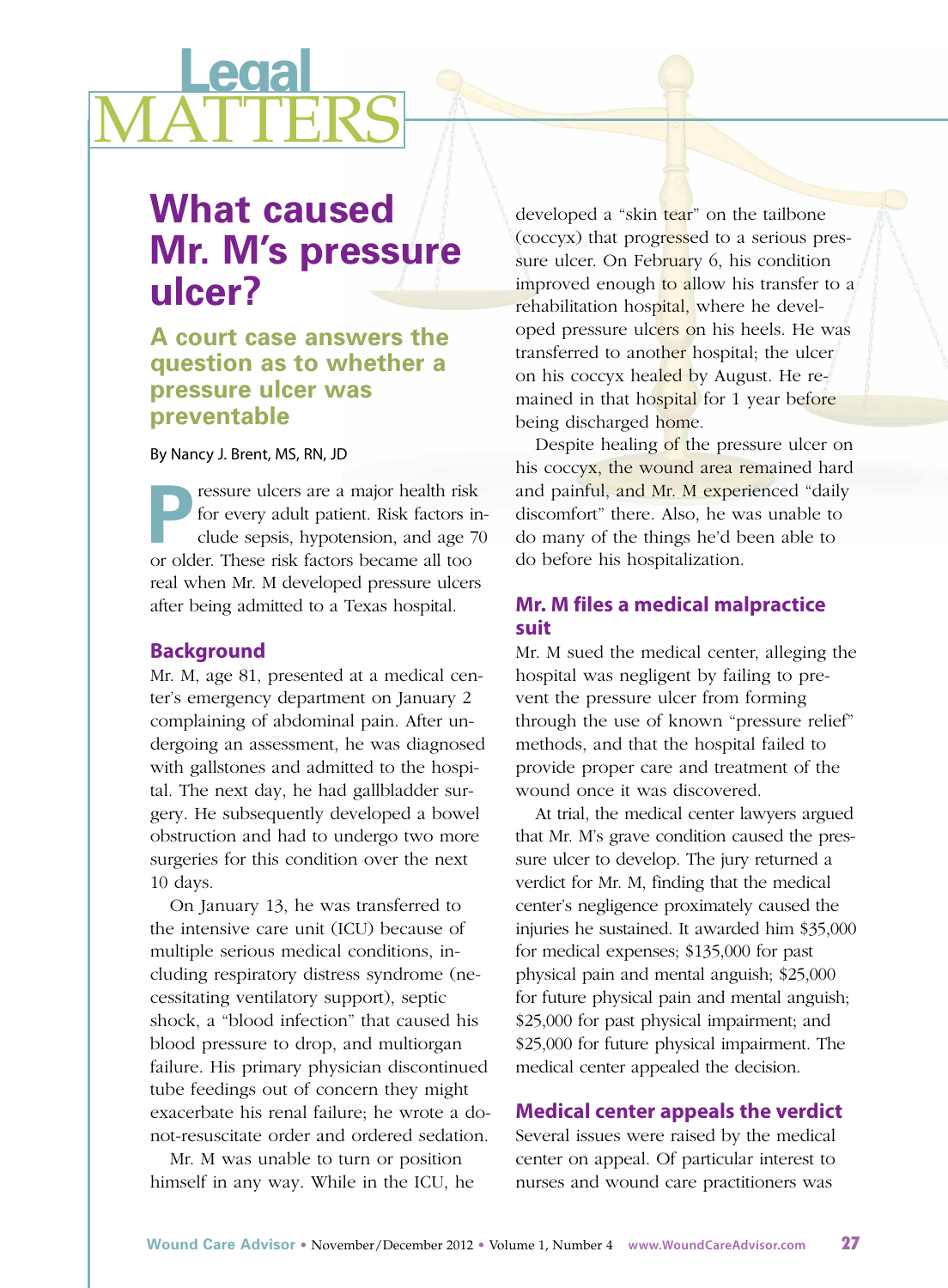# **Legal** <u>MATTERS</u>

# **What caused Mr. M's pressure ulcer?**

# **A court case answers the question as to whether a pressure ulcer was preventable**

### By Nancy J. Brent, MS, RN, JD

**Pressure ulcers are a major health risk**<br>for every adult patient. Risk factors in<br>clude sepsis, hypotension, and age 7<br>or older. These risk factors because all too for every adult patient. Risk factors include sepsis, hypotension, and age 70 or older. These risk factors became all too real when Mr. M developed pressure ulcers after being admitted to a Texas hospital.

### **Background**

Mr. M, age 81, presented at a medical center's emergency department on January 2 complaining of abdominal pain. After undergoing an assessment, he was diagnosed with gallstones and admitted to the hospital. The next day, he had gallbladder surgery. He subsequently developed a bowel obstruction and had to undergo two more surgeries for this condition over the next 10 days.

On January 13, he was transferred to the intensive care unit (ICU) because of multiple serious medical conditions, including respiratory distress syndrome (necessitating ventilatory support), septic shock, a "blood infection" that caused his blood pressure to drop, and multiorgan failure. His primary physician discontinued tube feedings out of concern they might exacerbate his renal failure; he wrote a donot-resuscitate order and ordered sedation.

Mr. M was unable to turn or position himself in any way. While in the ICU, he developed a "skin tear" on the tailbone (coccyx) that progressed to a serious pressure ulcer. On February 6, his condition improved enough to allow his transfer to a rehabilitation hospital, where he developed pressure ulcers on his heels. He was transferred to another hospital; the ulcer on his coccyx healed by August. He remained in that hospital for 1 year before being discharged home.

Despite healing of the pressure ulcer on his coccyx, the wound area remained hard and painful, and Mr. M experienced "daily discomfort" there. Also, he was unable to do many of the things he'd been able to do before his hospitalization.

# **Mr. M files a medical malpractice suit**

Mr. M sued the medical center, alleging the hospital was negligent by failing to prevent the pressure ulcer from forming through the use of known "pressure relief" methods, and that the hospital failed to provide proper care and treatment of the wound once it was discovered.

At trial, the medical center lawyers argued that Mr. M's grave condition caused the pressure ulcer to develop. The jury returned a verdict for Mr. M, finding that the medical center's negligence proximately caused the injuries he sustained. It awarded him \$35,000 for medical expenses; \$135,000 for past physical pain and mental anguish; \$25,000 for future physical pain and mental anguish; \$25,000 for past physical impairment; and \$25,000 for future physical impairment. The medical center appealed the decision.

## **Medical center appeals the verdict**

Several issues were raised by the medical center on appeal. Of particular interest to nurses and wound care practitioners was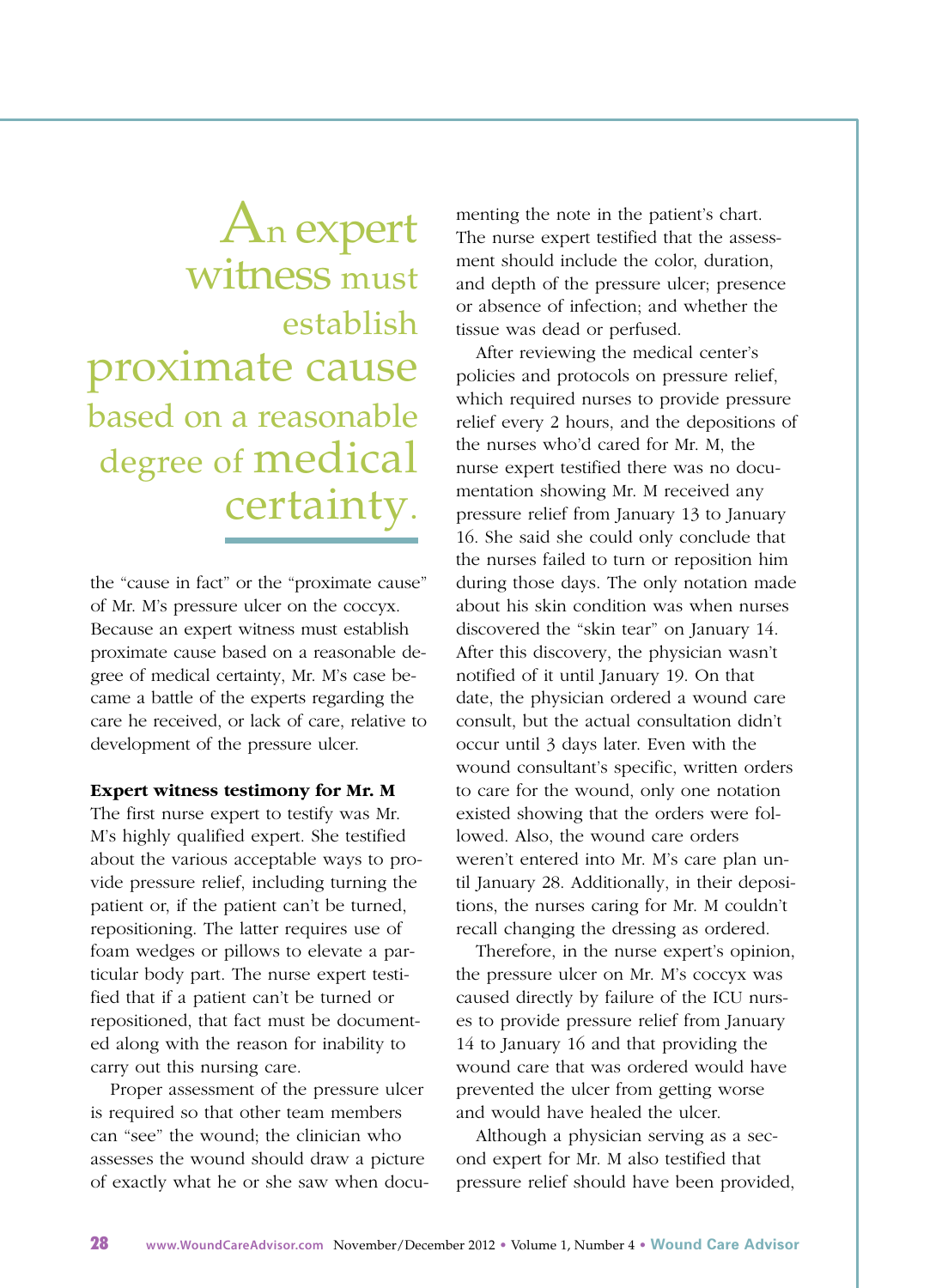# An expert witness must establish proximate cause based on a reasonable degree of medical certainty.

the "cause in fact" or the "proximate cause" of Mr. M's pressure ulcer on the coccyx. Because an expert witness must establish proximate cause based on a reasonable degree of medical certainty, Mr. M's case became a battle of the experts regarding the care he received, or lack of care, relative to development of the pressure ulcer.

#### **Expert witness testimony for Mr. M**

The first nurse expert to testify was Mr. M's highly qualified expert. She testified about the various acceptable ways to provide pressure relief, including turning the patient or, if the patient can't be turned, repositioning. The latter requires use of foam wedges or pillows to elevate a particular body part. The nurse expert testified that if a patient can't be turned or repositioned, that fact must be documented along with the reason for inability to carry out this nursing care.

Proper assessment of the pressure ulcer is required so that other team members can "see" the wound; the clinician who assesses the wound should draw a picture of exactly what he or she saw when documenting the note in the patient's chart. The nurse expert testified that the assessment should include the color, duration, and depth of the pressure ulcer; presence or absence of infection; and whether the tissue was dead or perfused.

After reviewing the medical center's policies and protocols on pressure relief, which required nurses to provide pressure relief every 2 hours, and the depositions of the nurses who'd cared for Mr. M, the nurse expert testified there was no documentation showing Mr. M received any pressure relief from January 13 to January 16. She said she could only conclude that the nurses failed to turn or reposition him during those days. The only notation made about his skin condition was when nurses discovered the "skin tear" on January 14. After this discovery, the physician wasn't notified of it until January 19. On that date, the physician ordered a wound care consult, but the actual consultation didn't occur until 3 days later. Even with the wound consultant's specific, written orders to care for the wound, only one notation existed showing that the orders were followed. Also, the wound care orders weren't entered into Mr. M's care plan until January 28. Additionally, in their depositions, the nurses caring for Mr. M couldn't recall changing the dressing as ordered.

Therefore, in the nurse expert's opinion, the pressure ulcer on Mr. M's coccyx was caused directly by failure of the ICU nurses to provide pressure relief from January 14 to January 16 and that providing the wound care that was ordered would have prevented the ulcer from getting worse and would have healed the ulcer.

Although a physician serving as a second expert for Mr. M also testified that pressure relief should have been provided,